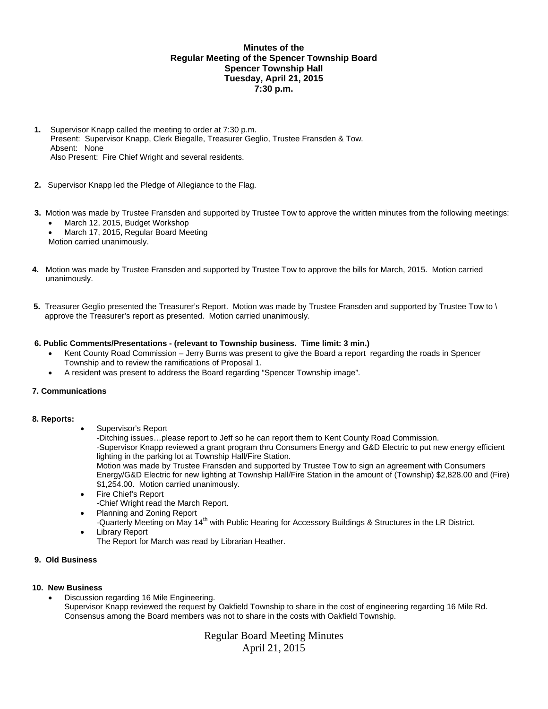# **Minutes of the Regular Meeting of the Spencer Township Board Spencer Township Hall Tuesday, April 21, 2015 7:30 p.m.**

- **1.** Supervisor Knapp called the meeting to order at 7:30 p.m. Present: Supervisor Knapp, Clerk Biegalle, Treasurer Geglio, Trustee Fransden & Tow. Absent: None Also Present: Fire Chief Wright and several residents.
- **2.** Supervisor Knapp led the Pledge of Allegiance to the Flag.
- **3.** Motion was made by Trustee Fransden and supported by Trustee Tow to approve the written minutes from the following meetings:
	- March 12, 2015, Budget Workshop
	- March 17, 2015, Regular Board Meeting
	- Motion carried unanimously.
- **4.** Motion was made by Trustee Fransden and supported by Trustee Tow to approve the bills for March, 2015. Motion carried unanimously.
- **5.** Treasurer Geglio presented the Treasurer's Report. Motion was made by Trustee Fransden and supported by Trustee Tow to \ approve the Treasurer's report as presented. Motion carried unanimously.

## **6. Public Comments/Presentations - (relevant to Township business. Time limit: 3 min.)**

- Kent County Road Commission Jerry Burns was present to give the Board a report regarding the roads in Spencer Township and to review the ramifications of Proposal 1.
- A resident was present to address the Board regarding "Spencer Township image".

## **7. Communications**

## **8. Reports:**

Supervisor's Report

-Ditching issues…please report to Jeff so he can report them to Kent County Road Commission. -Supervisor Knapp reviewed a grant program thru Consumers Energy and G&D Electric to put new energy efficient lighting in the parking lot at Township Hall/Fire Station. Motion was made by Trustee Fransden and supported by Trustee Tow to sign an agreement with Consumers Energy/G&D Electric for new lighting at Township Hall/Fire Station in the amount of (Township) \$2,828.00 and (Fire) \$1,254.00. Motion carried unanimously.

- Fire Chief's Report -Chief Wright read the March Report.
- Planning and Zoning Report
- -Quarterly Meeting on May 14<sup>th</sup> with Public Hearing for Accessory Buildings & Structures in the LR District. Library Report
- The Report for March was read by Librarian Heather.

# **9. Old Business**

#### **10. New Business**  Discussion regarding 16 Mile Engineering. Supervisor Knapp reviewed the request by Oakfield Township to share in the cost of engineering regarding 16 Mile Rd. Consensus among the Board members was not to share in the costs with Oakfield Township.

# Regular Board Meeting Minutes April 21, 2015